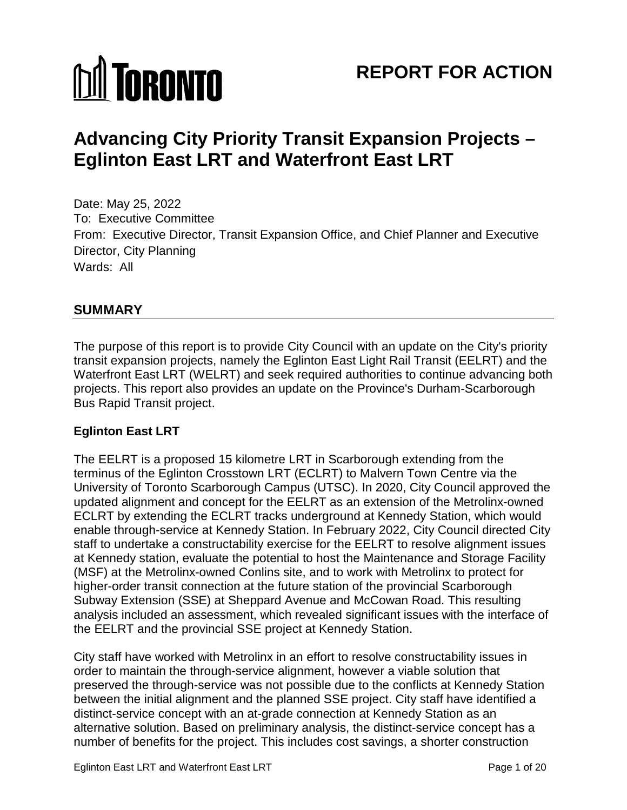# **MI TORONTO**

# **REPORT FOR ACTION**

# **Advancing City Priority Transit Expansion Projects – Eglinton East LRT and Waterfront East LRT**

Date: May 25, 2022 To: Executive Committee From: Executive Director, Transit Expansion Office, and Chief Planner and Executive Director, City Planning Wards: All

# **SUMMARY**

The purpose of this report is to provide City Council with an update on the City's priority transit expansion projects, namely the Eglinton East Light Rail Transit (EELRT) and the Waterfront East LRT (WELRT) and seek required authorities to continue advancing both projects. This report also provides an update on the Province's Durham-Scarborough Bus Rapid Transit project.

# **Eglinton East LRT**

The EELRT is a proposed 15 kilometre LRT in Scarborough extending from the terminus of the Eglinton Crosstown LRT (ECLRT) to Malvern Town Centre via the University of Toronto Scarborough Campus (UTSC). In 2020, City Council approved the updated alignment and concept for the EELRT as an extension of the Metrolinx-owned ECLRT by extending the ECLRT tracks underground at Kennedy Station, which would enable through-service at Kennedy Station. In February 2022, City Council directed City staff to undertake a constructability exercise for the EELRT to resolve alignment issues at Kennedy station, evaluate the potential to host the Maintenance and Storage Facility (MSF) at the Metrolinx-owned Conlins site, and to work with Metrolinx to protect for higher-order transit connection at the future station of the provincial Scarborough Subway Extension (SSE) at Sheppard Avenue and McCowan Road. This resulting analysis included an assessment, which revealed significant issues with the interface of the EELRT and the provincial SSE project at Kennedy Station.

City staff have worked with Metrolinx in an effort to resolve constructability issues in order to maintain the through-service alignment, however a viable solution that preserved the through-service was not possible due to the conflicts at Kennedy Station between the initial alignment and the planned SSE project. City staff have identified a distinct-service concept with an at-grade connection at Kennedy Station as an alternative solution. Based on preliminary analysis, the distinct-service concept has a number of benefits for the project. This includes cost savings, a shorter construction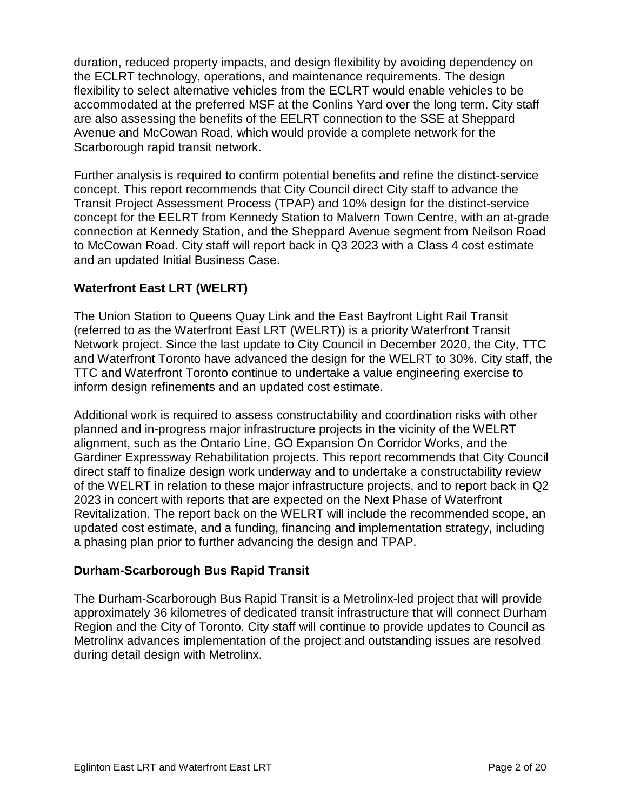duration, reduced property impacts, and design flexibility by avoiding dependency on the ECLRT technology, operations, and maintenance requirements. The design flexibility to select alternative vehicles from the ECLRT would enable vehicles to be accommodated at the preferred MSF at the Conlins Yard over the long term. City staff are also assessing the benefits of the EELRT connection to the SSE at Sheppard Avenue and McCowan Road, which would provide a complete network for the Scarborough rapid transit network.

Further analysis is required to confirm potential benefits and refine the distinct-service concept. This report recommends that City Council direct City staff to advance the Transit Project Assessment Process (TPAP) and 10% design for the distinct-service concept for the EELRT from Kennedy Station to Malvern Town Centre, with an at-grade connection at Kennedy Station, and the Sheppard Avenue segment from Neilson Road to McCowan Road. City staff will report back in Q3 2023 with a Class 4 cost estimate and an updated Initial Business Case.

# **Waterfront East LRT (WELRT)**

The Union Station to Queens Quay Link and the East Bayfront Light Rail Transit (referred to as the Waterfront East LRT (WELRT)) is a priority Waterfront Transit Network project. Since the last update to City Council in December 2020, the City, TTC and Waterfront Toronto have advanced the design for the WELRT to 30%. City staff, the TTC and Waterfront Toronto continue to undertake a value engineering exercise to inform design refinements and an updated cost estimate.

Additional work is required to assess constructability and coordination risks with other planned and in-progress major infrastructure projects in the vicinity of the WELRT alignment, such as the Ontario Line, GO Expansion On Corridor Works, and the Gardiner Expressway Rehabilitation projects. This report recommends that City Council direct staff to finalize design work underway and to undertake a constructability review of the WELRT in relation to these major infrastructure projects, and to report back in Q2 2023 in concert with reports that are expected on the Next Phase of Waterfront Revitalization. The report back on the WELRT will include the recommended scope, an updated cost estimate, and a funding, financing and implementation strategy, including a phasing plan prior to further advancing the design and TPAP.

#### **Durham-Scarborough Bus Rapid Transit**

The Durham-Scarborough Bus Rapid Transit is a Metrolinx-led project that will provide approximately 36 kilometres of dedicated transit infrastructure that will connect Durham Region and the City of Toronto. City staff will continue to provide updates to Council as Metrolinx advances implementation of the project and outstanding issues are resolved during detail design with Metrolinx.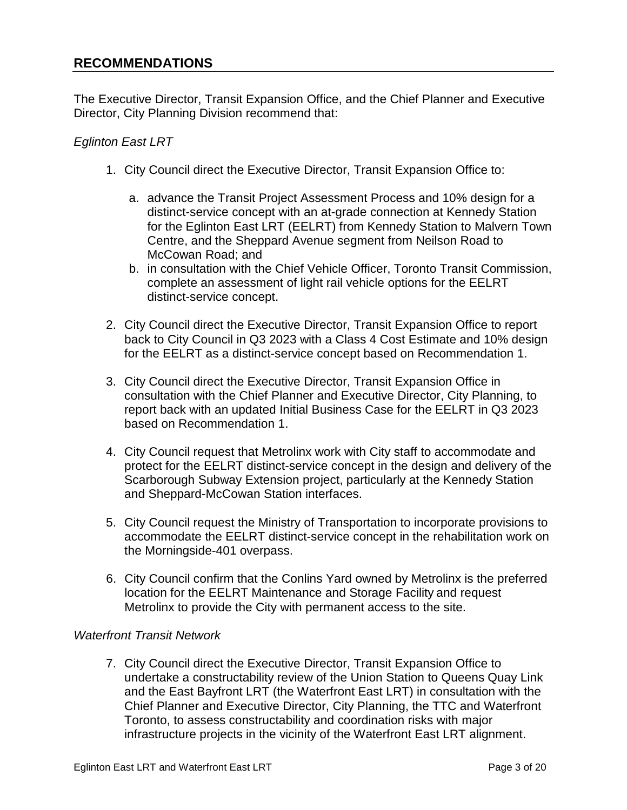# **RECOMMENDATIONS**

The Executive Director, Transit Expansion Office, and the Chief Planner and Executive Director, City Planning Division recommend that:

#### *Eglinton East LRT*

- 1. City Council direct the Executive Director, Transit Expansion Office to:
	- a. advance the Transit Project Assessment Process and 10% design for a distinct-service concept with an at-grade connection at Kennedy Station for the Eglinton East LRT (EELRT) from Kennedy Station to Malvern Town Centre, and the Sheppard Avenue segment from Neilson Road to McCowan Road; and
	- b. in consultation with the Chief Vehicle Officer, Toronto Transit Commission, complete an assessment of light rail vehicle options for the EELRT distinct-service concept.
- 2. City Council direct the Executive Director, Transit Expansion Office to report back to City Council in Q3 2023 with a Class 4 Cost Estimate and 10% design for the EELRT as a distinct-service concept based on Recommendation 1.
- 3. City Council direct the Executive Director, Transit Expansion Office in consultation with the Chief Planner and Executive Director, City Planning, to report back with an updated Initial Business Case for the EELRT in Q3 2023 based on Recommendation 1.
- 4. City Council request that Metrolinx work with City staff to accommodate and protect for the EELRT distinct-service concept in the design and delivery of the Scarborough Subway Extension project, particularly at the Kennedy Station and Sheppard-McCowan Station interfaces.
- 5. City Council request the Ministry of Transportation to incorporate provisions to accommodate the EELRT distinct-service concept in the rehabilitation work on the Morningside-401 overpass.
- 6. City Council confirm that the Conlins Yard owned by Metrolinx is the preferred location for the EELRT Maintenance and Storage Facility and request Metrolinx to provide the City with permanent access to the site.

#### *Waterfront Transit Network*

7. City Council direct the Executive Director, Transit Expansion Office to undertake a constructability review of the Union Station to Queens Quay Link and the East Bayfront LRT (the Waterfront East LRT) in consultation with the Chief Planner and Executive Director, City Planning, the TTC and Waterfront Toronto, to assess constructability and coordination risks with major infrastructure projects in the vicinity of the Waterfront East LRT alignment.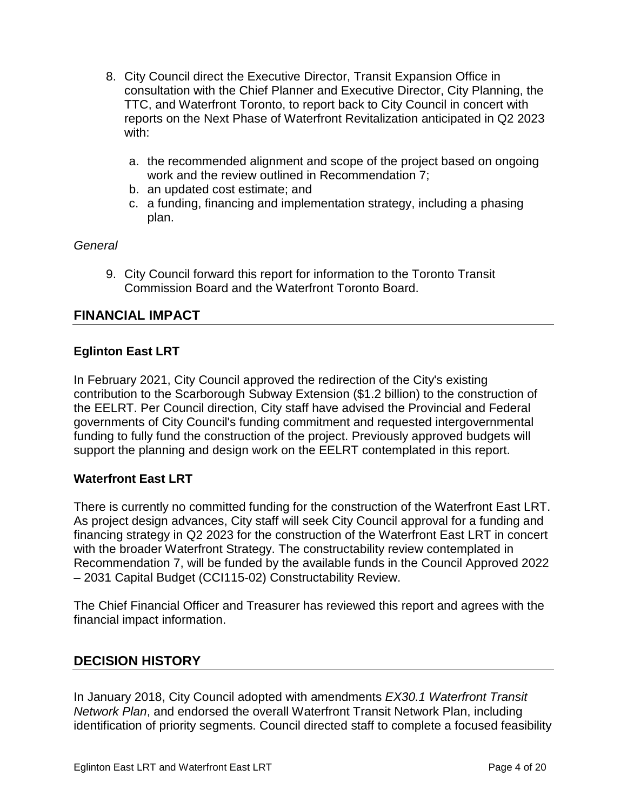- 8. City Council direct the Executive Director, Transit Expansion Office in consultation with the Chief Planner and Executive Director, City Planning, the TTC, and Waterfront Toronto, to report back to City Council in concert with reports on the Next Phase of Waterfront Revitalization anticipated in Q2 2023 with:
	- a. the recommended alignment and scope of the project based on ongoing work and the review outlined in Recommendation 7;
	- b. an updated cost estimate; and
	- c. a funding, financing and implementation strategy, including a phasing plan.

#### *General*

9. City Council forward this report for information to the Toronto Transit Commission Board and the Waterfront Toronto Board.

# **FINANCIAL IMPACT**

#### **Eglinton East LRT**

In February 2021, City Council approved the redirection of the City's existing contribution to the Scarborough Subway Extension (\$1.2 billion) to the construction of the EELRT. Per Council direction, City staff have advised the Provincial and Federal governments of City Council's funding commitment and requested intergovernmental funding to fully fund the construction of the project. Previously approved budgets will support the planning and design work on the EELRT contemplated in this report.

#### **Waterfront East LRT**

There is currently no committed funding for the construction of the Waterfront East LRT. As project design advances, City staff will seek City Council approval for a funding and financing strategy in Q2 2023 for the construction of the Waterfront East LRT in concert with the broader Waterfront Strategy. The constructability review contemplated in Recommendation 7, will be funded by the available funds in the Council Approved 2022 – 2031 Capital Budget (CCI115-02) Constructability Review.

The Chief Financial Officer and Treasurer has reviewed this report and agrees with the financial impact information.

# **DECISION HISTORY**

In January 2018, City Council adopted with amendments *EX30.1 Waterfront Transit Network Plan*, and endorsed the overall Waterfront Transit Network Plan, including identification of priority segments. Council directed staff to complete a focused feasibility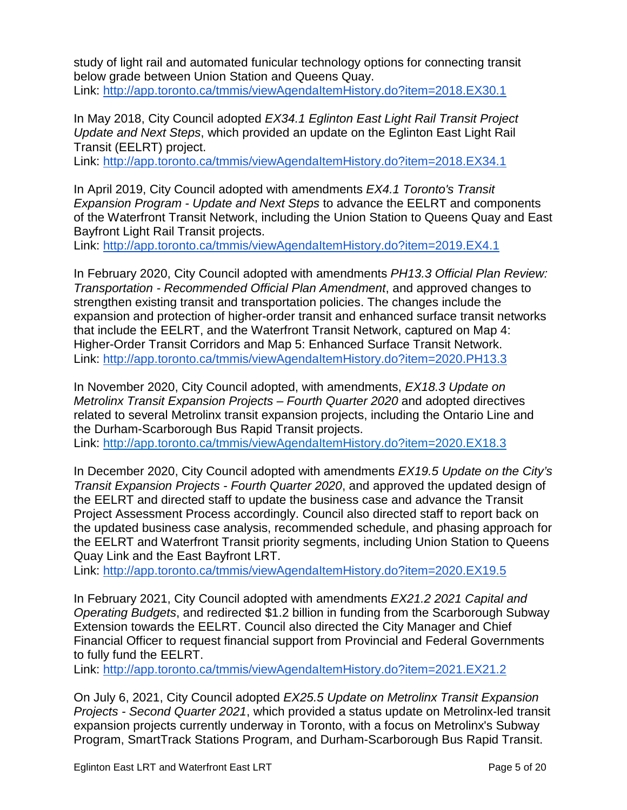study of light rail and automated funicular technology options for connecting transit below grade between Union Station and Queens Quay. Link:<http://app.toronto.ca/tmmis/viewAgendaItemHistory.do?item=2018.EX30.1>

In May 2018, City Council adopted *EX34.1 Eglinton East Light Rail Transit Project Update and Next Steps*, which provided an update on the Eglinton East Light Rail Transit (EELRT) project.

Link:<http://app.toronto.ca/tmmis/viewAgendaItemHistory.do?item=2018.EX34.1>

In April 2019, City Council adopted with amendments *EX4.1 Toronto's Transit Expansion Program - Update and Next Steps* to advance the EELRT and components of the Waterfront Transit Network, including the Union Station to Queens Quay and East Bayfront Light Rail Transit projects.

Link:<http://app.toronto.ca/tmmis/viewAgendaItemHistory.do?item=2019.EX4.1>

In February 2020, City Council adopted with amendments *PH13.3 Official Plan Review: Transportation - Recommended Official Plan Amendment*, and approved changes to strengthen existing transit and transportation policies. The changes include the expansion and protection of higher-order transit and enhanced surface transit networks that include the EELRT, and the Waterfront Transit Network, captured on Map 4: Higher-Order Transit Corridors and Map 5: Enhanced Surface Transit Network. Link:<http://app.toronto.ca/tmmis/viewAgendaItemHistory.do?item=2020.PH13.3>

In November 2020, City Council adopted, with amendments, *EX18.3 Update on Metrolinx Transit Expansion Projects – Fourth Quarter 2020* and adopted directives related to several Metrolinx transit expansion projects, including the Ontario Line and the Durham-Scarborough Bus Rapid Transit projects. Link:<http://app.toronto.ca/tmmis/viewAgendaItemHistory.do?item=2020.EX18.3>

In December 2020, City Council adopted with amendments *EX19.5 Update on the City's Transit Expansion Projects - Fourth Quarter 2020*, and approved the updated design of the EELRT and directed staff to update the business case and advance the Transit Project Assessment Process accordingly. Council also directed staff to report back on the updated business case analysis, recommended schedule, and phasing approach for the EELRT and Waterfront Transit priority segments, including Union Station to Queens Quay Link and the East Bayfront LRT.

Link:<http://app.toronto.ca/tmmis/viewAgendaItemHistory.do?item=2020.EX19.5>

In February 2021, City Council adopted with amendments *EX21.2 2021 Capital and Operating Budgets*, and redirected \$1.2 billion in funding from the Scarborough Subway Extension towards the EELRT. Council also directed the City Manager and Chief Financial Officer to request financial support from Provincial and Federal Governments to fully fund the EELRT.

Link:<http://app.toronto.ca/tmmis/viewAgendaItemHistory.do?item=2021.EX21.2>

On July 6, 2021, City Council adopted *EX25.5 Update on Metrolinx Transit Expansion Projects - Second Quarter 2021*, which provided a status update on Metrolinx-led transit expansion projects currently underway in Toronto, with a focus on Metrolinx's Subway Program, SmartTrack Stations Program, and Durham-Scarborough Bus Rapid Transit.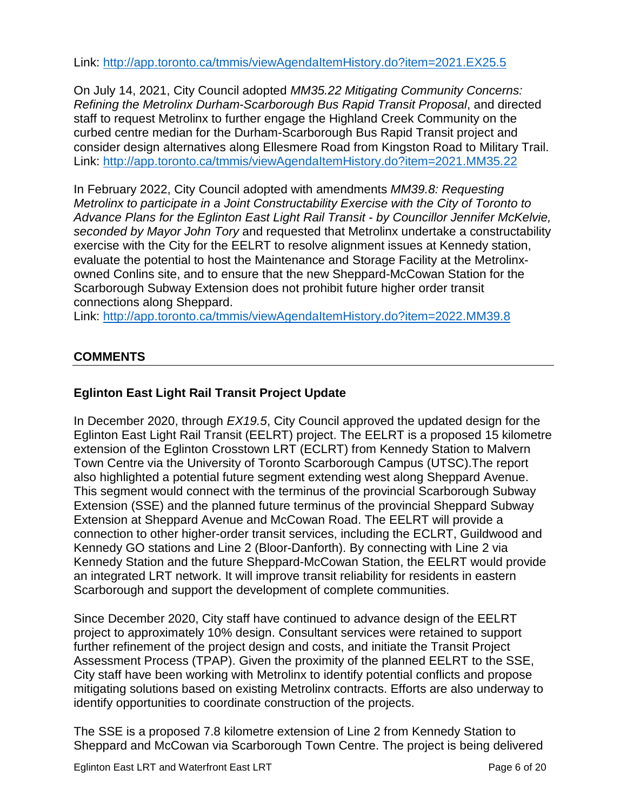Link:<http://app.toronto.ca/tmmis/viewAgendaItemHistory.do?item=2021.EX25.5>

On July 14, 2021, City Council adopted *MM35.22 Mitigating Community Concerns: Refining the Metrolinx Durham-Scarborough Bus Rapid Transit Proposal*, and directed staff to request Metrolinx to further engage the Highland Creek Community on the curbed centre median for the Durham-Scarborough Bus Rapid Transit project and consider design alternatives along Ellesmere Road from Kingston Road to Military Trail. Link:<http://app.toronto.ca/tmmis/viewAgendaItemHistory.do?item=2021.MM35.22>

In February 2022, City Council adopted with amendments *MM39.8: Requesting Metrolinx to participate in a Joint Constructability Exercise with the City of Toronto to Advance Plans for the Eglinton East Light Rail Transit* - *by Councillor Jennifer McKelvie, seconded by Mayor John Tory* and requested that Metrolinx undertake a constructability exercise with the City for the EELRT to resolve alignment issues at Kennedy station, evaluate the potential to host the Maintenance and Storage Facility at the Metrolinxowned Conlins site, and to ensure that the new Sheppard-McCowan Station for the Scarborough Subway Extension does not prohibit future higher order transit connections along Sheppard.

Link:<http://app.toronto.ca/tmmis/viewAgendaItemHistory.do?item=2022.MM39.8>

# **COMMENTS**

# **Eglinton East Light Rail Transit Project Update**

In December 2020, through *EX19.5*, City Council approved the updated design for the Eglinton East Light Rail Transit (EELRT) project. The EELRT is a proposed 15 kilometre extension of the Eglinton Crosstown LRT (ECLRT) from Kennedy Station to Malvern Town Centre via the University of Toronto Scarborough Campus (UTSC).The report also highlighted a potential future segment extending west along Sheppard Avenue. This segment would connect with the terminus of the provincial Scarborough Subway Extension (SSE) and the planned future terminus of the provincial Sheppard Subway Extension at Sheppard Avenue and McCowan Road. The EELRT will provide a connection to other higher-order transit services, including the ECLRT, Guildwood and Kennedy GO stations and Line 2 (Bloor-Danforth). By connecting with Line 2 via Kennedy Station and the future Sheppard-McCowan Station, the EELRT would provide an integrated LRT network. It will improve transit reliability for residents in eastern Scarborough and support the development of complete communities.

Since December 2020, City staff have continued to advance design of the EELRT project to approximately 10% design. Consultant services were retained to support further refinement of the project design and costs, and initiate the Transit Project Assessment Process (TPAP). Given the proximity of the planned EELRT to the SSE, City staff have been working with Metrolinx to identify potential conflicts and propose mitigating solutions based on existing Metrolinx contracts. Efforts are also underway to identify opportunities to coordinate construction of the projects.

The SSE is a proposed 7.8 kilometre extension of Line 2 from Kennedy Station to Sheppard and McCowan via Scarborough Town Centre. The project is being delivered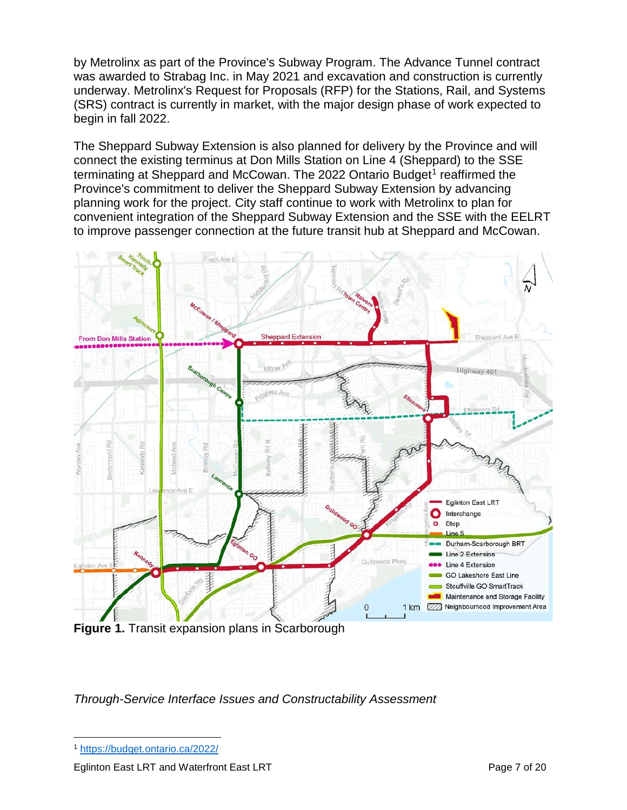by Metrolinx as part of the Province's Subway Program. The Advance Tunnel contract was awarded to Strabag Inc. in May 2021 and excavation and construction is currently underway. Metrolinx's Request for Proposals (RFP) for the Stations, Rail, and Systems (SRS) contract is currently in market, with the major design phase of work expected to begin in fall 2022.

The Sheppard Subway Extension is also planned for delivery by the Province and will connect the existing terminus at Don Mills Station on Line 4 (Sheppard) to the SSE terminating at Sheppard and McCowan. The 2022 Ontario Budget<sup>[1](#page-6-0)</sup> reaffirmed the Province's commitment to deliver the Sheppard Subway Extension by advancing planning work for the project. City staff continue to work with Metrolinx to plan for convenient integration of the Sheppard Subway Extension and the SSE with the EELRT to improve passenger connection at the future transit hub at Sheppard and McCowan.



*Through-Service Interface Issues and Constructability Assessment* 

<span id="page-6-0"></span>1 <https://budget.ontario.ca/2022/>

Eglinton East LRT and Waterfront East LRT **Page 7 of 20**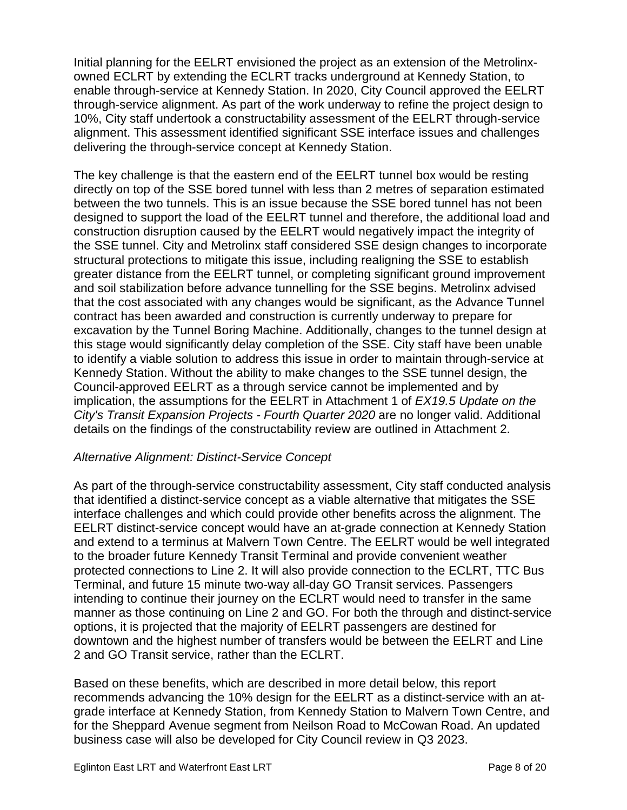Initial planning for the EELRT envisioned the project as an extension of the Metrolinxowned ECLRT by extending the ECLRT tracks underground at Kennedy Station, to enable through-service at Kennedy Station. In 2020, City Council approved the EELRT through-service alignment. As part of the work underway to refine the project design to 10%, City staff undertook a constructability assessment of the EELRT through-service alignment. This assessment identified significant SSE interface issues and challenges delivering the through-service concept at Kennedy Station.

The key challenge is that the eastern end of the EELRT tunnel box would be resting directly on top of the SSE bored tunnel with less than 2 metres of separation estimated between the two tunnels. This is an issue because the SSE bored tunnel has not been designed to support the load of the EELRT tunnel and therefore, the additional load and construction disruption caused by the EELRT would negatively impact the integrity of the SSE tunnel. City and Metrolinx staff considered SSE design changes to incorporate structural protections to mitigate this issue, including realigning the SSE to establish greater distance from the EELRT tunnel, or completing significant ground improvement and soil stabilization before advance tunnelling for the SSE begins. Metrolinx advised that the cost associated with any changes would be significant, as the Advance Tunnel contract has been awarded and construction is currently underway to prepare for excavation by the Tunnel Boring Machine. Additionally, changes to the tunnel design at this stage would significantly delay completion of the SSE. City staff have been unable to identify a viable solution to address this issue in order to maintain through-service at Kennedy Station. Without the ability to make changes to the SSE tunnel design, the Council-approved EELRT as a through service cannot be implemented and by implication, the assumptions for the EELRT in Attachment 1 of *EX19.5 Update on the City's Transit Expansion Projects - Fourth Quarter 2020* are no longer valid. Additional details on the findings of the constructability review are outlined in Attachment 2.

#### *Alternative Alignment: Distinct-Service Concept*

As part of the through-service constructability assessment, City staff conducted analysis that identified a distinct-service concept as a viable alternative that mitigates the SSE interface challenges and which could provide other benefits across the alignment. The EELRT distinct-service concept would have an at-grade connection at Kennedy Station and extend to a terminus at Malvern Town Centre. The EELRT would be well integrated to the broader future Kennedy Transit Terminal and provide convenient weather protected connections to Line 2. It will also provide connection to the ECLRT, TTC Bus Terminal, and future 15 minute two-way all-day GO Transit services. Passengers intending to continue their journey on the ECLRT would need to transfer in the same manner as those continuing on Line 2 and GO. For both the through and distinct-service options, it is projected that the majority of EELRT passengers are destined for downtown and the highest number of transfers would be between the EELRT and Line 2 and GO Transit service, rather than the ECLRT.

Based on these benefits, which are described in more detail below, this report recommends advancing the 10% design for the EELRT as a distinct-service with an atgrade interface at Kennedy Station, from Kennedy Station to Malvern Town Centre, and for the Sheppard Avenue segment from Neilson Road to McCowan Road. An updated business case will also be developed for City Council review in Q3 2023.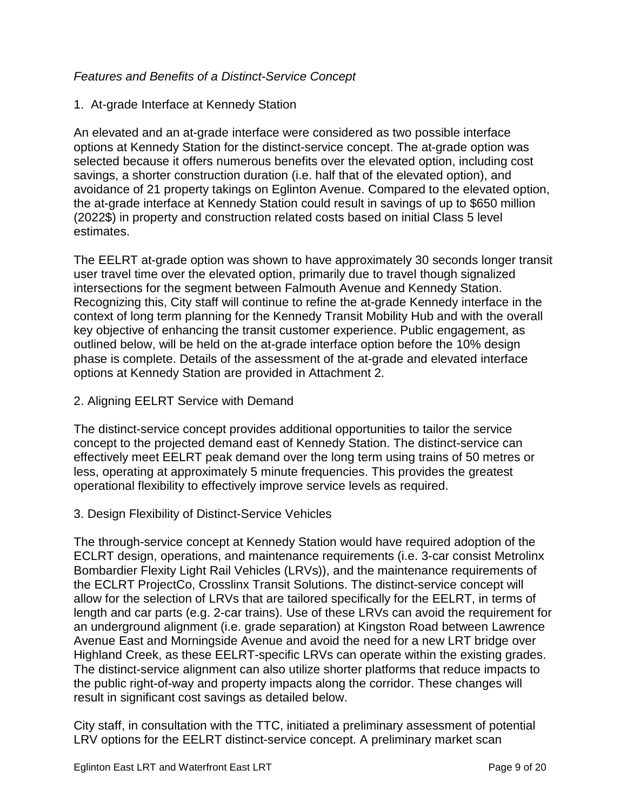# *Features and Benefits of a Distinct-Service Concept*

#### 1. At-grade Interface at Kennedy Station

An elevated and an at-grade interface were considered as two possible interface options at Kennedy Station for the distinct-service concept. The at-grade option was selected because it offers numerous benefits over the elevated option, including cost savings, a shorter construction duration (i.e. half that of the elevated option), and avoidance of 21 property takings on Eglinton Avenue. Compared to the elevated option, the at-grade interface at Kennedy Station could result in savings of up to \$650 million (2022\$) in property and construction related costs based on initial Class 5 level estimates.

The EELRT at-grade option was shown to have approximately 30 seconds longer transit user travel time over the elevated option, primarily due to travel though signalized intersections for the segment between Falmouth Avenue and Kennedy Station. Recognizing this, City staff will continue to refine the at-grade Kennedy interface in the context of long term planning for the Kennedy Transit Mobility Hub and with the overall key objective of enhancing the transit customer experience. Public engagement, as outlined below, will be held on the at-grade interface option before the 10% design phase is complete. Details of the assessment of the at-grade and elevated interface options at Kennedy Station are provided in Attachment 2.

2. Aligning EELRT Service with Demand

The distinct-service concept provides additional opportunities to tailor the service concept to the projected demand east of Kennedy Station. The distinct-service can effectively meet EELRT peak demand over the long term using trains of 50 metres or less, operating at approximately 5 minute frequencies. This provides the greatest operational flexibility to effectively improve service levels as required.

#### 3. Design Flexibility of Distinct-Service Vehicles

The through-service concept at Kennedy Station would have required adoption of the ECLRT design, operations, and maintenance requirements (i.e. 3-car consist Metrolinx Bombardier Flexity Light Rail Vehicles (LRVs)), and the maintenance requirements of the ECLRT ProjectCo, Crosslinx Transit Solutions. The distinct-service concept will allow for the selection of LRVs that are tailored specifically for the EELRT, in terms of length and car parts (e.g. 2-car trains). Use of these LRVs can avoid the requirement for an underground alignment (i.e. grade separation) at Kingston Road between Lawrence Avenue East and Morningside Avenue and avoid the need for a new LRT bridge over Highland Creek, as these EELRT-specific LRVs can operate within the existing grades. The distinct-service alignment can also utilize shorter platforms that reduce impacts to the public right-of-way and property impacts along the corridor. These changes will result in significant cost savings as detailed below.

City staff, in consultation with the TTC, initiated a preliminary assessment of potential LRV options for the EELRT distinct-service concept. A preliminary market scan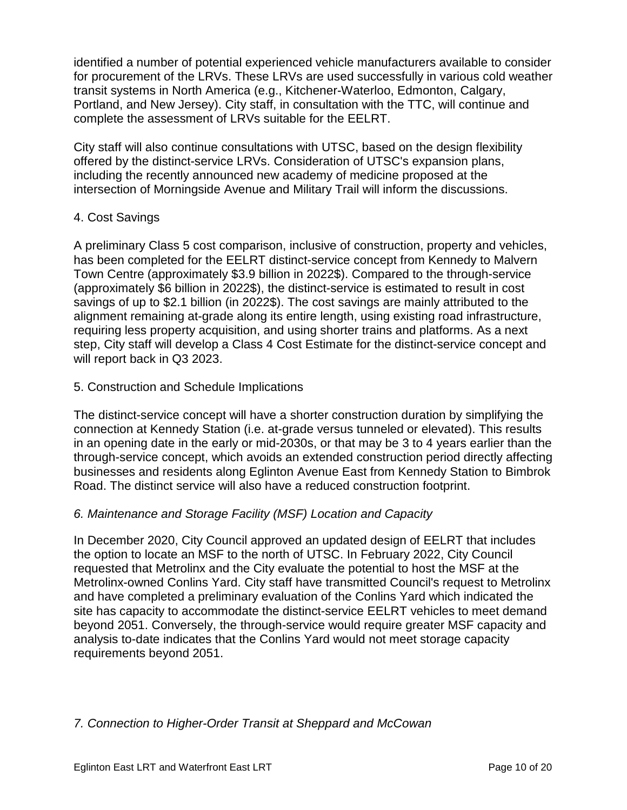identified a number of potential experienced vehicle manufacturers available to consider for procurement of the LRVs. These LRVs are used successfully in various cold weather transit systems in North America (e.g., Kitchener-Waterloo, Edmonton, Calgary, Portland, and New Jersey). City staff, in consultation with the TTC, will continue and complete the assessment of LRVs suitable for the EELRT.

City staff will also continue consultations with UTSC, based on the design flexibility offered by the distinct-service LRVs. Consideration of UTSC's expansion plans, including the recently announced new academy of medicine proposed at the intersection of Morningside Avenue and Military Trail will inform the discussions.

#### 4. Cost Savings

A preliminary Class 5 cost comparison, inclusive of construction, property and vehicles, has been completed for the EELRT distinct-service concept from Kennedy to Malvern Town Centre (approximately \$3.9 billion in 2022\$). Compared to the through-service (approximately \$6 billion in 2022\$), the distinct-service is estimated to result in cost savings of up to \$2.1 billion (in 2022\$). The cost savings are mainly attributed to the alignment remaining at-grade along its entire length, using existing road infrastructure, requiring less property acquisition, and using shorter trains and platforms. As a next step, City staff will develop a Class 4 Cost Estimate for the distinct-service concept and will report back in Q3 2023.

#### 5. Construction and Schedule Implications

The distinct-service concept will have a shorter construction duration by simplifying the connection at Kennedy Station (i.e. at-grade versus tunneled or elevated). This results in an opening date in the early or mid-2030s, or that may be 3 to 4 years earlier than the through-service concept, which avoids an extended construction period directly affecting businesses and residents along Eglinton Avenue East from Kennedy Station to Bimbrok Road. The distinct service will also have a reduced construction footprint.

#### *6. Maintenance and Storage Facility (MSF) Location and Capacity*

In December 2020, City Council approved an updated design of EELRT that includes the option to locate an MSF to the north of UTSC. In February 2022, City Council requested that Metrolinx and the City evaluate the potential to host the MSF at the Metrolinx-owned Conlins Yard. City staff have transmitted Council's request to Metrolinx and have completed a preliminary evaluation of the Conlins Yard which indicated the site has capacity to accommodate the distinct-service EELRT vehicles to meet demand beyond 2051. Conversely, the through-service would require greater MSF capacity and analysis to-date indicates that the Conlins Yard would not meet storage capacity requirements beyond 2051.

#### *7. Connection to Higher-Order Transit at Sheppard and McCowan*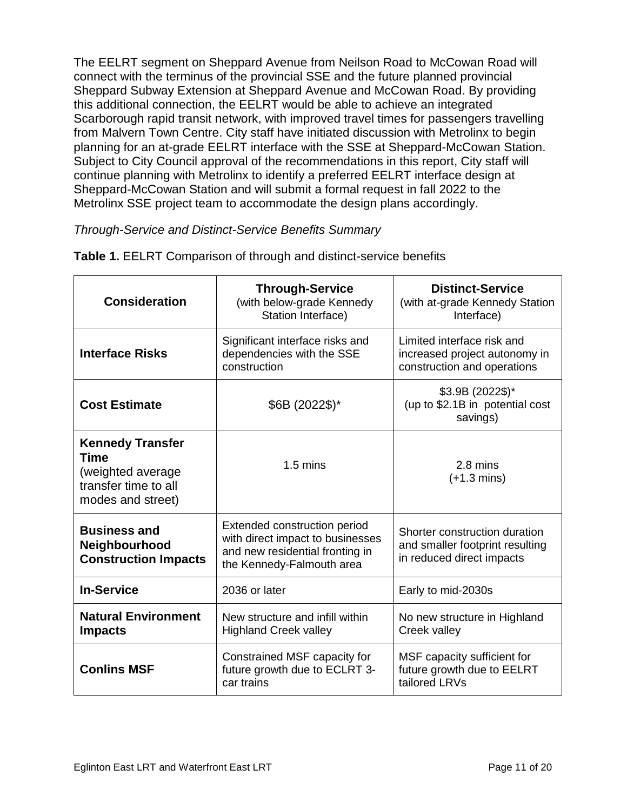The EELRT segment on Sheppard Avenue from Neilson Road to McCowan Road will connect with the terminus of the provincial SSE and the future planned provincial Sheppard Subway Extension at Sheppard Avenue and McCowan Road. By providing this additional connection, the EELRT would be able to achieve an integrated Scarborough rapid transit network, with improved travel times for passengers travelling from Malvern Town Centre. City staff have initiated discussion with Metrolinx to begin planning for an at-grade EELRT interface with the SSE at Sheppard-McCowan Station. Subject to City Council approval of the recommendations in this report, City staff will continue planning with Metrolinx to identify a preferred EELRT interface design at Sheppard-McCowan Station and will submit a formal request in fall 2022 to the Metrolinx SSE project team to accommodate the design plans accordingly.

# *Through-Service and Distinct-Service Benefits Summary*

| <b>Consideration</b>                                                                                     | <b>Through-Service</b><br>(with below-grade Kennedy<br>Station Interface)                                                        | <b>Distinct-Service</b><br>(with at-grade Kennedy Station<br>Interface)                       |
|----------------------------------------------------------------------------------------------------------|----------------------------------------------------------------------------------------------------------------------------------|-----------------------------------------------------------------------------------------------|
| <b>Interface Risks</b>                                                                                   | Significant interface risks and<br>dependencies with the SSE<br>construction                                                     | Limited interface risk and<br>increased project autonomy in<br>construction and operations    |
| <b>Cost Estimate</b>                                                                                     | $$6B (2022\$ <sup>*</sup>                                                                                                        | \$3.9B (2022\$)*<br>(up to \$2.1B in potential cost<br>savings)                               |
| <b>Kennedy Transfer</b><br><b>Time</b><br>(weighted average<br>transfer time to all<br>modes and street) | $1.5 \text{ mins}$                                                                                                               | 2.8 mins<br>$(+1.3 \text{ mins})$                                                             |
| <b>Business and</b><br>Neighbourhood<br><b>Construction Impacts</b>                                      | Extended construction period<br>with direct impact to businesses<br>and new residential fronting in<br>the Kennedy-Falmouth area | Shorter construction duration<br>and smaller footprint resulting<br>in reduced direct impacts |
| <b>In-Service</b>                                                                                        | 2036 or later                                                                                                                    | Early to mid-2030s                                                                            |
| <b>Natural Environment</b><br><b>Impacts</b>                                                             | New structure and infill within<br><b>Highland Creek valley</b>                                                                  | No new structure in Highland<br>Creek valley                                                  |
| <b>Conlins MSF</b>                                                                                       | Constrained MSF capacity for<br>future growth due to ECLRT 3-<br>car trains                                                      | MSF capacity sufficient for<br>future growth due to EELRT<br>tailored LRVs                    |

**Table 1.** EELRT Comparison of through and distinct-service benefits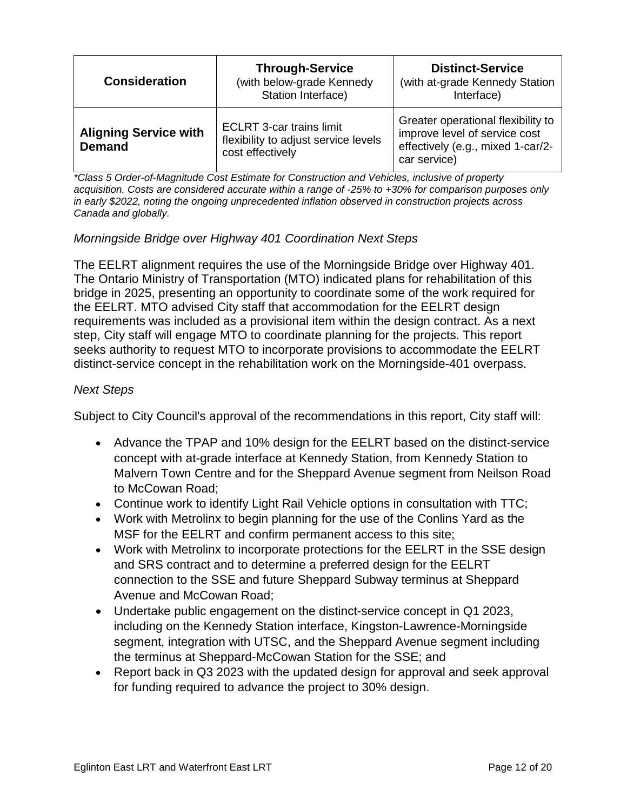| <b>Consideration</b>                          | <b>Through-Service</b><br>(with below-grade Kennedy<br>Station Interface)                   | <b>Distinct-Service</b><br>(with at-grade Kennedy Station<br>Interface)                                                  |
|-----------------------------------------------|---------------------------------------------------------------------------------------------|--------------------------------------------------------------------------------------------------------------------------|
| <b>Aligning Service with</b><br><b>Demand</b> | <b>ECLRT 3-car trains limit</b><br>flexibility to adjust service levels<br>cost effectively | Greater operational flexibility to<br>improve level of service cost<br>effectively (e.g., mixed 1-car/2-<br>car service) |

*\*Class 5 Order-of-Magnitude Cost Estimate for Construction and Vehicles, inclusive of property acquisition. Costs are considered accurate within a range of -25% to +30% for comparison purposes only in early \$2022, noting the ongoing unprecedented inflation observed in construction projects across Canada and globally.*

# *Morningside Bridge over Highway 401 Coordination Next Steps*

The EELRT alignment requires the use of the Morningside Bridge over Highway 401. The Ontario Ministry of Transportation (MTO) indicated plans for rehabilitation of this bridge in 2025, presenting an opportunity to coordinate some of the work required for the EELRT. MTO advised City staff that accommodation for the EELRT design requirements was included as a provisional item within the design contract. As a next step, City staff will engage MTO to coordinate planning for the projects. This report seeks authority to request MTO to incorporate provisions to accommodate the EELRT distinct-service concept in the rehabilitation work on the Morningside-401 overpass.

#### *Next Steps*

Subject to City Council's approval of the recommendations in this report, City staff will:

- Advance the TPAP and 10% design for the EELRT based on the distinct-service concept with at-grade interface at Kennedy Station, from Kennedy Station to Malvern Town Centre and for the Sheppard Avenue segment from Neilson Road to McCowan Road;
- Continue work to identify Light Rail Vehicle options in consultation with TTC;
- Work with Metrolinx to begin planning for the use of the Conlins Yard as the MSF for the EELRT and confirm permanent access to this site;
- Work with Metrolinx to incorporate protections for the EELRT in the SSE design and SRS contract and to determine a preferred design for the EELRT connection to the SSE and future Sheppard Subway terminus at Sheppard Avenue and McCowan Road;
- Undertake public engagement on the distinct-service concept in Q1 2023, including on the Kennedy Station interface, Kingston-Lawrence-Morningside segment, integration with UTSC, and the Sheppard Avenue segment including the terminus at Sheppard-McCowan Station for the SSE; and
- Report back in Q3 2023 with the updated design for approval and seek approval for funding required to advance the project to 30% design.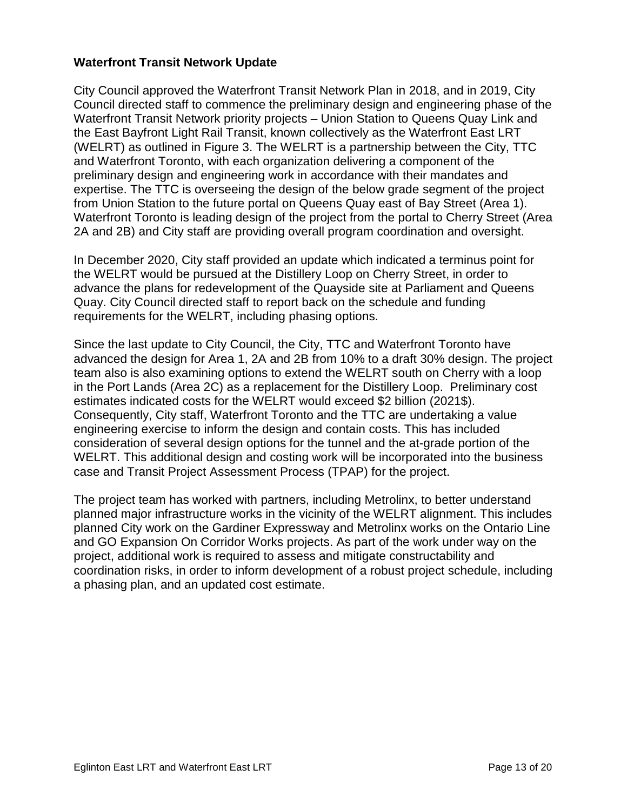#### **Waterfront Transit Network Update**

City Council approved the Waterfront Transit Network Plan in 2018, and in 2019, City Council directed staff to commence the preliminary design and engineering phase of the Waterfront Transit Network priority projects – Union Station to Queens Quay Link and the East Bayfront Light Rail Transit, known collectively as the Waterfront East LRT (WELRT) as outlined in Figure 3. The WELRT is a partnership between the City, TTC and Waterfront Toronto, with each organization delivering a component of the preliminary design and engineering work in accordance with their mandates and expertise. The TTC is overseeing the design of the below grade segment of the project from Union Station to the future portal on Queens Quay east of Bay Street (Area 1). Waterfront Toronto is leading design of the project from the portal to Cherry Street (Area 2A and 2B) and City staff are providing overall program coordination and oversight.

In December 2020, City staff provided an update which indicated a terminus point for the WELRT would be pursued at the Distillery Loop on Cherry Street, in order to advance the plans for redevelopment of the Quayside site at Parliament and Queens Quay. City Council directed staff to report back on the schedule and funding requirements for the WELRT, including phasing options.

Since the last update to City Council, the City, TTC and Waterfront Toronto have advanced the design for Area 1, 2A and 2B from 10% to a draft 30% design. The project team also is also examining options to extend the WELRT south on Cherry with a loop in the Port Lands (Area 2C) as a replacement for the Distillery Loop. Preliminary cost estimates indicated costs for the WELRT would exceed \$2 billion (2021\$). Consequently, City staff, Waterfront Toronto and the TTC are undertaking a value engineering exercise to inform the design and contain costs. This has included consideration of several design options for the tunnel and the at-grade portion of the WELRT. This additional design and costing work will be incorporated into the business case and Transit Project Assessment Process (TPAP) for the project.

The project team has worked with partners, including Metrolinx, to better understand planned major infrastructure works in the vicinity of the WELRT alignment. This includes planned City work on the Gardiner Expressway and Metrolinx works on the Ontario Line and GO Expansion On Corridor Works projects. As part of the work under way on the project, additional work is required to assess and mitigate constructability and coordination risks, in order to inform development of a robust project schedule, including a phasing plan, and an updated cost estimate.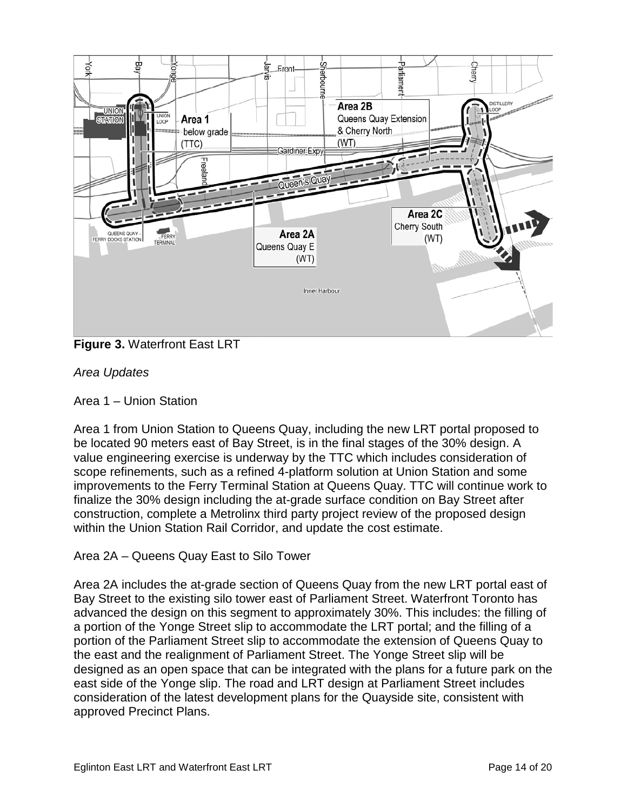

**Figure 3.** Waterfront East LRT

*Area Updates* 

Area 1 – Union Station

Area 1 from Union Station to Queens Quay, including the new LRT portal proposed to be located 90 meters east of Bay Street, is in the final stages of the 30% design. A value engineering exercise is underway by the TTC which includes consideration of scope refinements, such as a refined 4-platform solution at Union Station and some improvements to the Ferry Terminal Station at Queens Quay. TTC will continue work to finalize the 30% design including the at-grade surface condition on Bay Street after construction, complete a Metrolinx third party project review of the proposed design within the Union Station Rail Corridor, and update the cost estimate.

# Area 2A – Queens Quay East to Silo Tower

Area 2A includes the at-grade section of Queens Quay from the new LRT portal east of Bay Street to the existing silo tower east of Parliament Street. Waterfront Toronto has advanced the design on this segment to approximately 30%. This includes: the filling of a portion of the Yonge Street slip to accommodate the LRT portal; and the filling of a portion of the Parliament Street slip to accommodate the extension of Queens Quay to the east and the realignment of Parliament Street. The Yonge Street slip will be designed as an open space that can be integrated with the plans for a future park on the east side of the Yonge slip. The road and LRT design at Parliament Street includes consideration of the latest development plans for the Quayside site, consistent with approved Precinct Plans.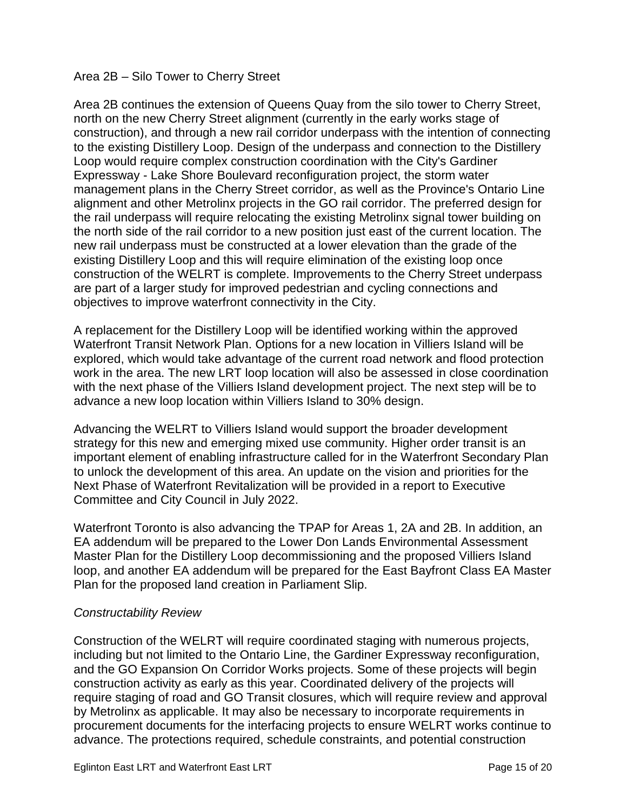#### Area 2B – Silo Tower to Cherry Street

Area 2B continues the extension of Queens Quay from the silo tower to Cherry Street, north on the new Cherry Street alignment (currently in the early works stage of construction), and through a new rail corridor underpass with the intention of connecting to the existing Distillery Loop. Design of the underpass and connection to the Distillery Loop would require complex construction coordination with the City's Gardiner Expressway - Lake Shore Boulevard reconfiguration project, the storm water management plans in the Cherry Street corridor, as well as the Province's Ontario Line alignment and other Metrolinx projects in the GO rail corridor. The preferred design for the rail underpass will require relocating the existing Metrolinx signal tower building on the north side of the rail corridor to a new position just east of the current location. The new rail underpass must be constructed at a lower elevation than the grade of the existing Distillery Loop and this will require elimination of the existing loop once construction of the WELRT is complete. Improvements to the Cherry Street underpass are part of a larger study for improved pedestrian and cycling connections and objectives to improve waterfront connectivity in the City.

A replacement for the Distillery Loop will be identified working within the approved Waterfront Transit Network Plan. Options for a new location in Villiers Island will be explored, which would take advantage of the current road network and flood protection work in the area. The new LRT loop location will also be assessed in close coordination with the next phase of the Villiers Island development project. The next step will be to advance a new loop location within Villiers Island to 30% design.

Advancing the WELRT to Villiers Island would support the broader development strategy for this new and emerging mixed use community. Higher order transit is an important element of enabling infrastructure called for in the Waterfront Secondary Plan to unlock the development of this area. An update on the vision and priorities for the Next Phase of Waterfront Revitalization will be provided in a report to Executive Committee and City Council in July 2022.

Waterfront Toronto is also advancing the TPAP for Areas 1, 2A and 2B. In addition, an EA addendum will be prepared to the Lower Don Lands Environmental Assessment Master Plan for the Distillery Loop decommissioning and the proposed Villiers Island loop, and another EA addendum will be prepared for the East Bayfront Class EA Master Plan for the proposed land creation in Parliament Slip.

#### *Constructability Review*

Construction of the WELRT will require coordinated staging with numerous projects, including but not limited to the Ontario Line, the Gardiner Expressway reconfiguration, and the GO Expansion On Corridor Works projects. Some of these projects will begin construction activity as early as this year. Coordinated delivery of the projects will require staging of road and GO Transit closures, which will require review and approval by Metrolinx as applicable. It may also be necessary to incorporate requirements in procurement documents for the interfacing projects to ensure WELRT works continue to advance. The protections required, schedule constraints, and potential construction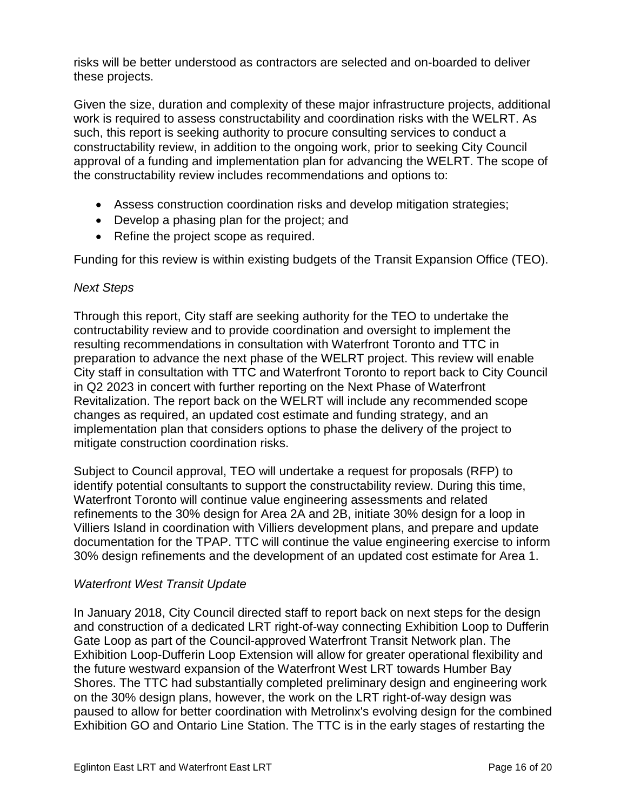risks will be better understood as contractors are selected and on-boarded to deliver these projects.

Given the size, duration and complexity of these major infrastructure projects, additional work is required to assess constructability and coordination risks with the WELRT. As such, this report is seeking authority to procure consulting services to conduct a constructability review, in addition to the ongoing work, prior to seeking City Council approval of a funding and implementation plan for advancing the WELRT. The scope of the constructability review includes recommendations and options to:

- Assess construction coordination risks and develop mitigation strategies;
- Develop a phasing plan for the project; and
- Refine the project scope as required.

Funding for this review is within existing budgets of the Transit Expansion Office (TEO).

#### *Next Steps*

Through this report, City staff are seeking authority for the TEO to undertake the contructability review and to provide coordination and oversight to implement the resulting recommendations in consultation with Waterfront Toronto and TTC in preparation to advance the next phase of the WELRT project. This review will enable City staff in consultation with TTC and Waterfront Toronto to report back to City Council in Q2 2023 in concert with further reporting on the Next Phase of Waterfront Revitalization. The report back on the WELRT will include any recommended scope changes as required, an updated cost estimate and funding strategy, and an implementation plan that considers options to phase the delivery of the project to mitigate construction coordination risks.

Subject to Council approval, TEO will undertake a request for proposals (RFP) to identify potential consultants to support the constructability review. During this time, Waterfront Toronto will continue value engineering assessments and related refinements to the 30% design for Area 2A and 2B, initiate 30% design for a loop in Villiers Island in coordination with Villiers development plans, and prepare and update documentation for the TPAP. TTC will continue the value engineering exercise to inform 30% design refinements and the development of an updated cost estimate for Area 1.

#### *Waterfront West Transit Update*

In January 2018, City Council directed staff to report back on next steps for the design and construction of a dedicated LRT right-of-way connecting Exhibition Loop to Dufferin Gate Loop as part of the Council-approved Waterfront Transit Network plan. The Exhibition Loop-Dufferin Loop Extension will allow for greater operational flexibility and the future westward expansion of the Waterfront West LRT towards Humber Bay Shores. The TTC had substantially completed preliminary design and engineering work on the 30% design plans, however, the work on the LRT right-of-way design was paused to allow for better coordination with Metrolinx's evolving design for the combined Exhibition GO and Ontario Line Station. The TTC is in the early stages of restarting the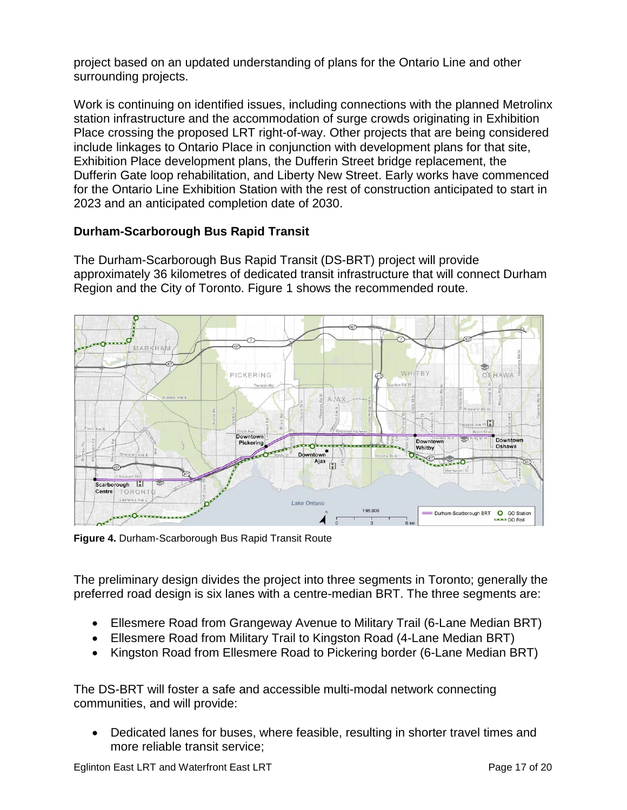project based on an updated understanding of plans for the Ontario Line and other surrounding projects.

Work is continuing on identified issues, including connections with the planned Metrolinx station infrastructure and the accommodation of surge crowds originating in Exhibition Place crossing the proposed LRT right-of-way. Other projects that are being considered include linkages to Ontario Place in conjunction with development plans for that site, Exhibition Place development plans, the Dufferin Street bridge replacement, the Dufferin Gate loop rehabilitation, and Liberty New Street. Early works have commenced for the Ontario Line Exhibition Station with the rest of construction anticipated to start in 2023 and an anticipated completion date of 2030.

# **Durham-Scarborough Bus Rapid Transit**

The Durham-Scarborough Bus Rapid Transit (DS-BRT) project will provide approximately 36 kilometres of dedicated transit infrastructure that will connect Durham Region and the City of Toronto. Figure 1 shows the recommended route.



**Figure 4.** Durham-Scarborough Bus Rapid Transit Route

The preliminary design divides the project into three segments in Toronto; generally the preferred road design is six lanes with a centre-median BRT. The three segments are:

- Ellesmere Road from Grangeway Avenue to Military Trail (6-Lane Median BRT)
- Ellesmere Road from Military Trail to Kingston Road (4-Lane Median BRT)
- Kingston Road from Ellesmere Road to Pickering border (6-Lane Median BRT)

The DS-BRT will foster a safe and accessible multi-modal network connecting communities, and will provide:

• Dedicated lanes for buses, where feasible, resulting in shorter travel times and more reliable transit service;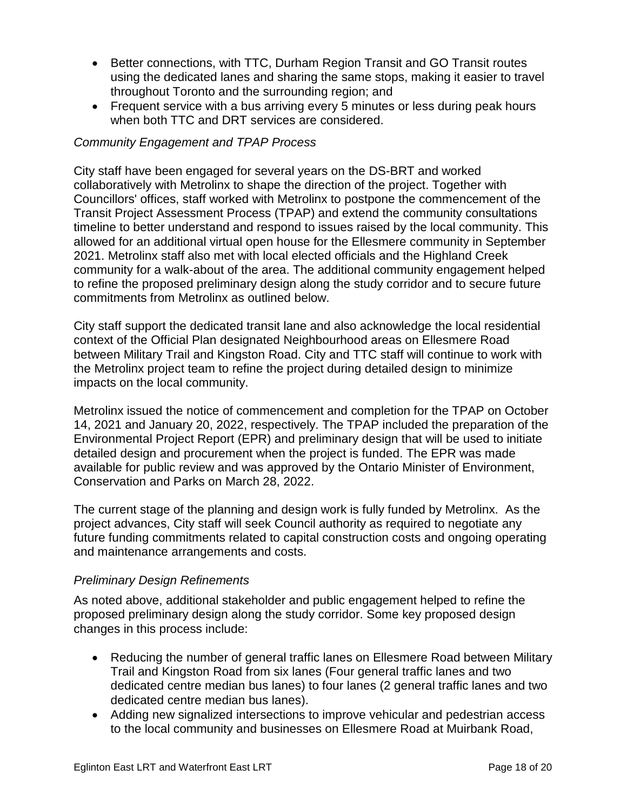- Better connections, with TTC, Durham Region Transit and GO Transit routes using the dedicated lanes and sharing the same stops, making it easier to travel throughout Toronto and the surrounding region; and
- Frequent service with a bus arriving every 5 minutes or less during peak hours when both TTC and DRT services are considered.

#### *Community Engagement and TPAP Process*

City staff have been engaged for several years on the DS-BRT and worked collaboratively with Metrolinx to shape the direction of the project. Together with Councillors' offices, staff worked with Metrolinx to postpone the commencement of the Transit Project Assessment Process (TPAP) and extend the community consultations timeline to better understand and respond to issues raised by the local community. This allowed for an additional virtual open house for the Ellesmere community in September 2021. Metrolinx staff also met with local elected officials and the Highland Creek community for a walk-about of the area. The additional community engagement helped to refine the proposed preliminary design along the study corridor and to secure future commitments from Metrolinx as outlined below.

City staff support the dedicated transit lane and also acknowledge the local residential context of the Official Plan designated Neighbourhood areas on Ellesmere Road between Military Trail and Kingston Road. City and TTC staff will continue to work with the Metrolinx project team to refine the project during detailed design to minimize impacts on the local community.

Metrolinx issued the notice of commencement and completion for the TPAP on October 14, 2021 and January 20, 2022, respectively. The TPAP included the preparation of the Environmental Project Report (EPR) and preliminary design that will be used to initiate detailed design and procurement when the project is funded. The EPR was made available for public review and was approved by the Ontario Minister of Environment, Conservation and Parks on March 28, 2022.

The current stage of the planning and design work is fully funded by Metrolinx. As the project advances, City staff will seek Council authority as required to negotiate any future funding commitments related to capital construction costs and ongoing operating and maintenance arrangements and costs.

#### *Preliminary Design Refinements*

As noted above, additional stakeholder and public engagement helped to refine the proposed preliminary design along the study corridor. Some key proposed design changes in this process include:

- Reducing the number of general traffic lanes on Ellesmere Road between Military Trail and Kingston Road from six lanes (Four general traffic lanes and two dedicated centre median bus lanes) to four lanes (2 general traffic lanes and two dedicated centre median bus lanes).
- Adding new signalized intersections to improve vehicular and pedestrian access to the local community and businesses on Ellesmere Road at Muirbank Road,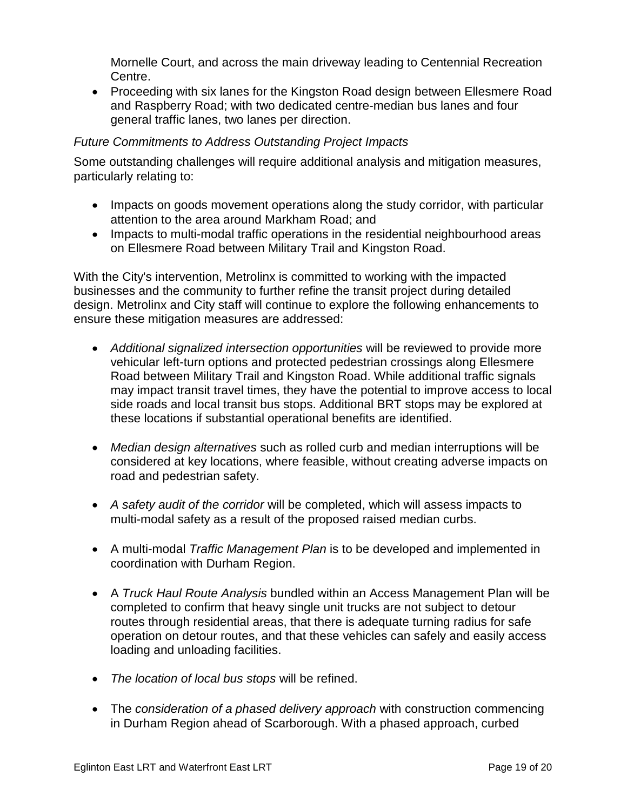Mornelle Court, and across the main driveway leading to Centennial Recreation Centre.

• Proceeding with six lanes for the Kingston Road design between Ellesmere Road and Raspberry Road; with two dedicated centre-median bus lanes and four general traffic lanes, two lanes per direction.

#### *Future Commitments to Address Outstanding Project Impacts*

Some outstanding challenges will require additional analysis and mitigation measures, particularly relating to:

- Impacts on goods movement operations along the study corridor, with particular attention to the area around Markham Road; and
- Impacts to multi-modal traffic operations in the residential neighbourhood areas on Ellesmere Road between Military Trail and Kingston Road.

With the City's intervention, Metrolinx is committed to working with the impacted businesses and the community to further refine the transit project during detailed design. Metrolinx and City staff will continue to explore the following enhancements to ensure these mitigation measures are addressed:

- *Additional signalized intersection opportunities* will be reviewed to provide more vehicular left-turn options and protected pedestrian crossings along Ellesmere Road between Military Trail and Kingston Road. While additional traffic signals may impact transit travel times, they have the potential to improve access to local side roads and local transit bus stops. Additional BRT stops may be explored at these locations if substantial operational benefits are identified.
- *Median design alternatives* such as rolled curb and median interruptions will be considered at key locations, where feasible, without creating adverse impacts on road and pedestrian safety.
- *A safety audit of the corridor* will be completed, which will assess impacts to multi-modal safety as a result of the proposed raised median curbs.
- A multi-modal *Traffic Management Plan* is to be developed and implemented in coordination with Durham Region.
- A *Truck Haul Route Analysis* bundled within an Access Management Plan will be completed to confirm that heavy single unit trucks are not subject to detour routes through residential areas, that there is adequate turning radius for safe operation on detour routes, and that these vehicles can safely and easily access loading and unloading facilities.
- *The location of local bus stops* will be refined.
- The *consideration of a phased delivery approach* with construction commencing in Durham Region ahead of Scarborough. With a phased approach, curbed